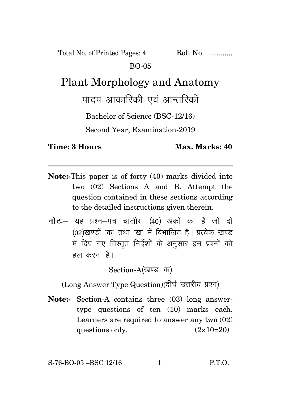[Total No. of Printed Pages: 4 Roll No................. BO-05

## Plant Morphology and Anatomy

पादप आकारिकी एवं आन्तरिकी

Bachelor of Science (BSC-12/16)

Second Year, Examination-2019

**Time: 3 Hours Max. Marks: 40** 

- **Note:-**This paper is of forty (40) marks divided into two (02) Sections A and B. Attempt the question contained in these sections according to the detailed instructions given therein.
- **नोट:** यह प्रश्न-पत्र चालीस (40) अंकों का है जो दो (02)खण्डों 'क' तथा 'ख' में विभाजित है। प्रत्येक खण्ड में दिए गए विस्तृत निर्देशों के अनुसार इन प्रश्नों को हल करना है।

Section-A(खण्ड-क)

(Long Answer Type Question)(दीर्घ उत्तरीय प्रश्न)

**Note:-** Section-A contains three (03) long answertype questions of ten (10) marks each. Learners are required to answer any two (02) questions only.  $(2 \times 10=20)$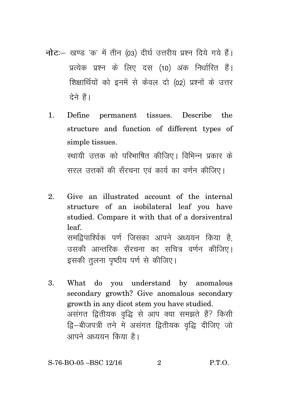- नोट:- खण्ड 'क' में तीन (03) दीर्घ उत्तरीय प्रश्न दिये गये हैं। प्रत्येक प्रश्न के लिए दस (10) अंक निर्धारित हैं। शिक्षार्थियों को इनमें से केवल दो (02) प्रश्नों के उत्तर टेने हैं।
	- $\mathbf{1}$ Define permanent tissues. Describe the t structure and function of different types of simple tissues. स्थायी उत्तक को परिभाषित कीजिए। विभिन्न प्रकार के सरल उत्तकों की सँरचना एवं कार्य का वर्णन कीजिए।
	- $\mathfrak{D}$ Give an illustrated account of the internal structure of an isobilateral leaf you have studied. Compare it with that of a dorsiventral leaf. समद्रिपार्श्विक पर्ण जिसका आपने अध्ययन किया है उसकी आन्तरिक सँरचना का सचित्र वर्णन कीजिए। इसकी तलना पष्ठीय पर्ण से कीजिए।
	- $3.$ What do you understand by anomalous secondary growth? Give anomalous secondary growth in any dicot stem you have studied. असंगत द्वितीयक वृद्धि से आप क्या समझते हैं? किसी द्वि–बीजपत्री तने मे असंगत द्वितीयक वृद्धि दीजिए जो आपने अध्ययन किया है।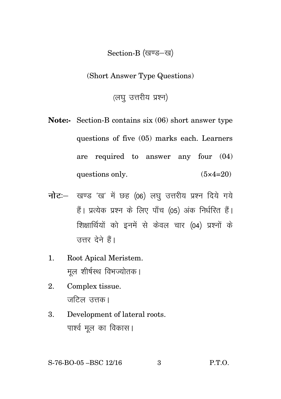## Section-B (खण्ड-ख)

(Short Answer Type Questions)

(लघु उत्तरीय प्रश्न)

- **Note:-** Section-B contains six (06) short answer type questions of five (05) marks each. Learners are required to answer any four (04) questions only.  $(5 \times 4=20)$
- **नोट:** खण्ड 'ख' में छह (06) लघु उत्तरीय प्रश्न दिये गये हैं। प्रत्येक प्रश्न के लिए पाँच (05) अंक निर्धरित हैं। शिक्षार्थियों को इनमें से केवल चार (04) प्रश्नों के उत्तर देने हैं।
- 1. Root Apical Meristem. मूल शीर्षस्थ विभज्योतक।
- 2. Complex tissue. जटिल उत्तक।
- 3. Development of lateral roots. पार्श्व मल का विकास।